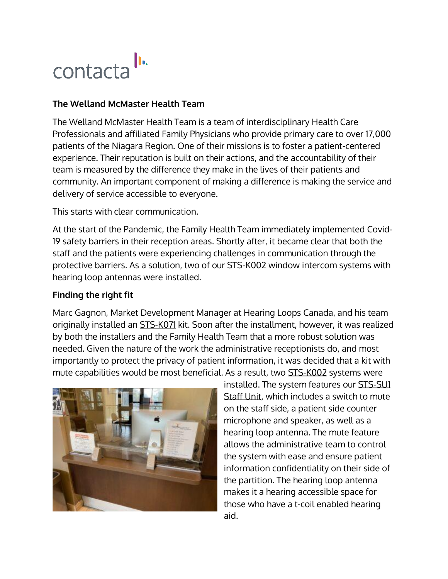## contacta In

## **The Welland McMaster Health Team**

The Welland McMaster Health Team is a team of interdisciplinary Health Care Professionals and affiliated Family Physicians who provide primary care to over 17,000 patients of the Niagara Region. One of their missions is to foster a patient-centered experience. Their reputation is built on their actions, and the accountability of their team is measured by the difference they make in the lives of their patients and community. An important component of making a difference is making the service and delivery of service accessible to everyone.

This starts with clear communication.

At the start of the Pandemic, the Family Health Team immediately implemented Covid-19 safety barriers in their reception areas. Shortly after, it became clear that both the staff and the patients were experiencing challenges in communication through the protective barriers. As a solution, two of our STS-K002 window intercom systems with hearing loop antennas were installed.

## **Finding the right fit**

Marc Gagnon, Market Development Manager at Hearing Loops Canada, and his team originally installed an [STS-K071](https://contactainc.com/products/window-intercom-systems/speaker-and-microphone-pod-system-sts-k071/) kit. Soon after the installment, however, it was realized by both the installers and the Family Health Team that a more robust solution was needed. Given the nature of the work the administrative receptionists do, and most importantly to protect the privacy of patient information, it was decided that a kit with mute capabilities would be most beneficial. As a result, two [STS-K002](https://contactainc.com/products/window-intercom-systems/surface-mounted-system/) systems were



installed. The system features our [STS-SU1](https://contactainc.com/products/window-intercom-systems/staff-loudspeaker-unit/) [Staff](https://contactainc.com/products/window-intercom-systems/staff-loudspeaker-unit/) Unit, which includes a switch to mute on the staff side, a patient side counter microphone and speaker, as well as a hearing loop antenna. The mute feature allows the administrative team to control the system with ease and ensure patient information confidentiality on their side of the partition. The hearing loop antenna makes it a hearing accessible space for those who have a t-coil enabled hearing aid.